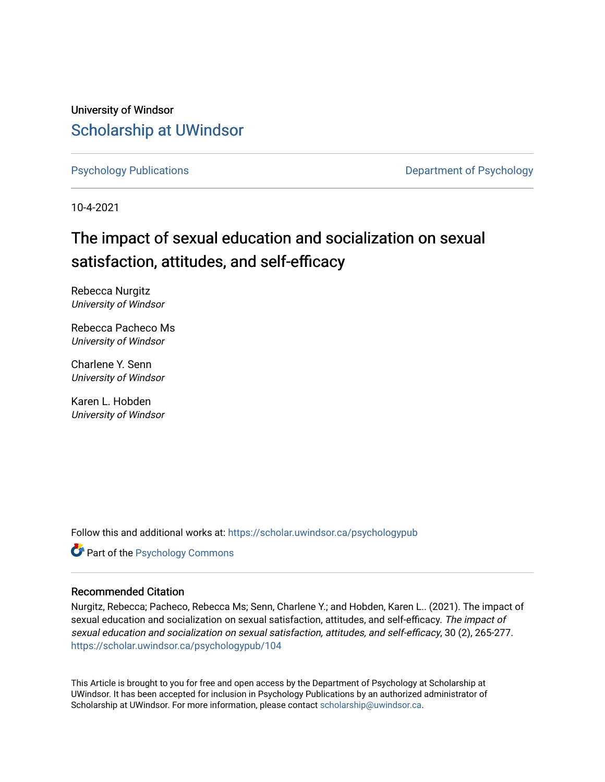University of Windsor [Scholarship at UWindsor](https://scholar.uwindsor.ca/) 

[Psychology Publications](https://scholar.uwindsor.ca/psychologypub) **Department of Psychology** 

10-4-2021

## The impact of sexual education and socialization on sexual satisfaction, attitudes, and self-efficacy

Rebecca Nurgitz University of Windsor

Rebecca Pacheco Ms University of Windsor

Charlene Y. Senn University of Windsor

Karen L. Hobden University of Windsor

Follow this and additional works at: [https://scholar.uwindsor.ca/psychologypub](https://scholar.uwindsor.ca/psychologypub?utm_source=scholar.uwindsor.ca%2Fpsychologypub%2F104&utm_medium=PDF&utm_campaign=PDFCoverPages) 

Part of the [Psychology Commons](http://network.bepress.com/hgg/discipline/404?utm_source=scholar.uwindsor.ca%2Fpsychologypub%2F104&utm_medium=PDF&utm_campaign=PDFCoverPages) 

## Recommended Citation

Nurgitz, Rebecca; Pacheco, Rebecca Ms; Senn, Charlene Y.; and Hobden, Karen L.. (2021). The impact of sexual education and socialization on sexual satisfaction, attitudes, and self-efficacy. The impact of sexual education and socialization on sexual satisfaction, attitudes, and self-efficacy, 30 (2), 265-277. [https://scholar.uwindsor.ca/psychologypub/104](https://scholar.uwindsor.ca/psychologypub/104?utm_source=scholar.uwindsor.ca%2Fpsychologypub%2F104&utm_medium=PDF&utm_campaign=PDFCoverPages) 

This Article is brought to you for free and open access by the Department of Psychology at Scholarship at UWindsor. It has been accepted for inclusion in Psychology Publications by an authorized administrator of Scholarship at UWindsor. For more information, please contact [scholarship@uwindsor.ca.](mailto:scholarship@uwindsor.ca)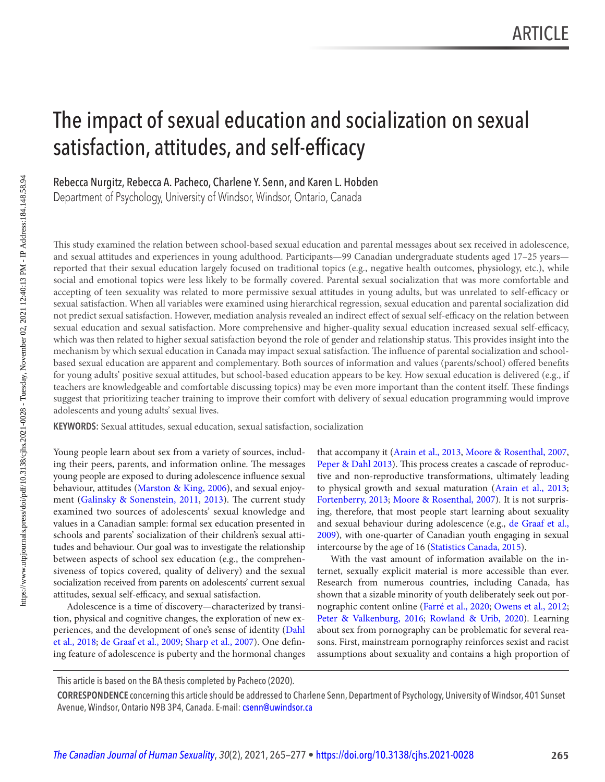# <span id="page-1-0"></span>The impact of sexual education and socialization on sexual satisfaction, attitudes, and self-efficacy

Rebecca Nurgitz, Rebecca A. Pacheco, Charlene Y. Senn, and Karen L. Hobden

Department of Psychology, University of Windsor, Windsor, Ontario, Canada

 This study examined the relation between school-based sexual education and parental messages about sex received in adolescence, and sexual attitudes and experiences in young adulthood. Participants—99 Canadian undergraduate students aged 17–25 years reported that their sexual education largely focused on traditional topics (e.g., negative health outcomes, physiology, etc.), while social and emotional topics were less likely to be formally covered. Parental sexual socialization that was more comfortable and accepting of teen sexuality was related to more permissive sexual attitudes in young adults, but was unrelated to self-efficacy or sexual satisfaction. When all variables were examined using hierarchical regression, sexual education and parental socialization did not predict sexual satisfaction. However, mediation analysis revealed an indirect effect of sexual self-efficacy on the relation between sexual education and sexual satisfaction. More comprehensive and higher-quality sexual education increased sexual self-efficacy, which was then related to higher sexual satisfaction beyond the role of gender and relationship status. This provides insight into the mechanism by which sexual education in Canada may impact sexual satisfaction. The influence of parental socialization and schoolbased sexual education are apparent and complementary. Both sources of information and values (parents/school) offered benefits for young adults' positive sexual attitudes, but school-based education appears to be key. How sexual education is delivered (e.g., if teachers are knowledgeable and comfortable discussing topics) may be even more important than the content itself. These findings suggest that prioritizing teacher training to improve their comfort with delivery of sexual education programming would improve adolescents and young adults' sexual lives.

**KEYWORDS:** Sexual attitudes, sexual education, sexual satisfaction, socialization

tudes and behaviour. Our goal was to investigate the relationship intercourse by the age of 16 ([Statistics Canada, 2015](#page-13-0)). between aspects of school sex education (e.g., the comprehen- With the vast amount of information available on the in-

Young people learn about sex from a variety of sources, includ-<br>that accompany it (Arain et al., 2013, [Moore & Rosenthal, 2007](#page-12-0), ing their peers, parents, and information online. The messages [Peper & Dahl 2013\)](#page-12-0). This process creates a cascade of reproducyoung people are exposed to during adolescence influence sexual tive and non-reproductive transformations, ultimately leading behaviour, attitudes ([Marston & King, 2006](#page-12-0)), and sexual enjoy- to physical growth and sexual maturation (Arain et al., 2013; ment ([Galinsky & Sonenstein, 2011](#page-11-0), [2013](#page-11-0)). The current study [Fortenberry, 2013](#page-11-0); [Moore & Rosenthal, 2007](#page-12-0)). It is not surprisexamined two sources of adolescents' sexual knowledge and ing, therefore, that most people start learning about sexuality values in a Canadian sample: formal sex education presented in and sexual behaviour during adolescence (e.g., [de Graaf et al.,](#page-11-0) schools and parents' socialization of their children's sexual atti- [2009](#page-11-0)), with one-quarter of Canadian youth engaging in sexual

siveness of topics covered, quality of delivery) and the sexual ternet, sexually explicit material is more accessible than ever. socialization received from parents on adolescents' current sexual Research from numerous countries, including Canada, has attitudes, sexual self-efficacy, and sexual satisfaction. shown that a sizable minority of youth deliberately seek out por-Adolescence is a time of discovery—characterized by transi- nographic content online ([Farré et al., 2020](#page-11-0); [Owens et al., 2012](#page-12-0); tion, physical and cognitive changes, the exploration of new ex- [Peter & Valkenburg, 2016](#page-12-0); [Rowland & Urib, 2020](#page-13-0)). Learning periences, and the development of one's sense of identity [\(Dahl](#page-10-0) about sex from pornography can be problematic for several rea[et al., 2018](#page-10-0); [de Graaf et al., 2009](#page-11-0); [Sharp et al., 2007](#page-13-0)). One defin-<br>sons. First, mainstream pornography reinforces sexist and racist ing feature of adolescence is puberty and the hormonal changes assumptions about sexuality and contains a high proportion of

This article is based on the BA thesis completed by Pacheco (2020).

**CORRESPONDENCE** concerning this article should be addressed to Charlene Senn, Department of Psychology, University of Windsor, 401 Sunset Avenue, Windsor, Ontario N9B 3P4, Canada. E-mail: [csenn@uwindsor.ca](mailto:csenn@uwindsor.ca)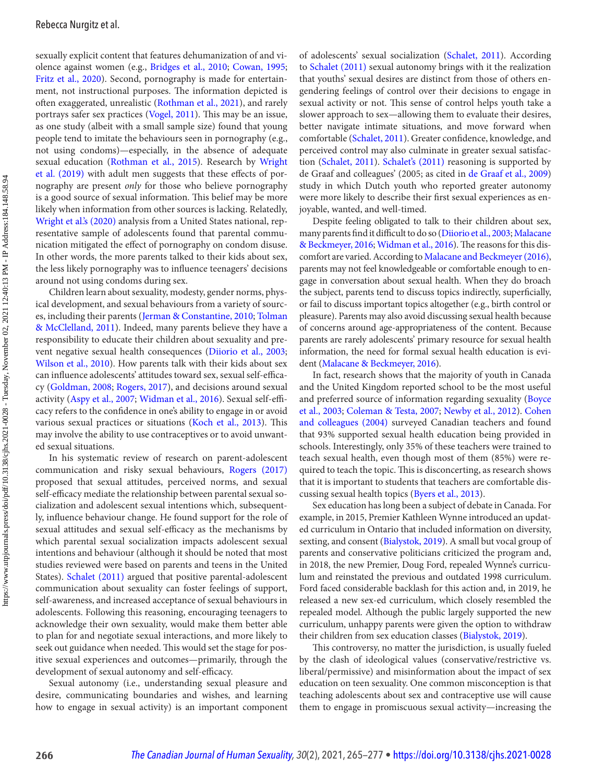<span id="page-2-0"></span>sexually explicit content that features dehumanization of and violence against women (e.g., [Bridges et al., 2010;](#page-10-0) [Cowan, 1995](#page-10-0); [Fritz et al., 2020](#page-11-0)). Second, pornography is made for entertainment, not instructional purposes. The information depicted is often exaggerated, unrealistic ([Rothman et al., 2021](#page-12-0)), and rarely portrays safer sex practices ([Vogel, 2011](#page-13-0)). This may be an issue, as one study (albeit with a small sample size) found that young people tend to imitate the behaviours seen in pornography (e.g., not using condoms)—especially, in the absence of adequate sexual education (Rothman et al., 2015). Research by Wright et al. (2019) with adult men suggests that these effects of pornography are present only for those who believe pornography is a good source of sexual information. This belief may be more likely when information from other sources is lacking. Relatedly, Wright et al.'s (2020) analysis from a United States national, representative sample of adolescents found that parental communication mitigated the effect of pornography on condom disuse. In other words, the more parents talked to their kids about sex, the less likely pornography was to influence teenagers' decisions around not using condoms during sex.

Children learn about sexuality, modesty, gender norms, physical development, and sexual behaviours from a variety of sources, including their parents ([Jerman & Constantine, 2010](#page-11-0); [Tolman](#page-13-0) [& McClelland, 2011](#page-13-0)). Indeed, many parents believe they have a responsibility to educate their children about sexuality and prevent negative sexual health consequences ([Diiorio et al., 2003](#page-11-0); [Wilson et al., 2010](#page-13-0)). How parents talk with their kids about sex can influence adolescents' attitudes toward sex, sexual self-efficacy ([Goldman, 2008](#page-11-0); [Rogers, 2017](#page-12-0)), and decisions around sexual activity (Aspy et al., 2007; [Widman et al., 2016\)](#page-13-0). Sexual self-efficacy refers to the confidence in one's ability to engage in or avoid various sexual practices or situations (Koch et al., 2013). This may involve the ability to use contraceptives or to avoid unwanted sexual situations.

In his systematic review of research on parent-adolescent communication and risky sexual behaviours, Rogers (2017) proposed that sexual attitudes, perceived norms, and sexual self-efficacy mediate the relationship between parental sexual socialization and adolescent sexual intentions which, subsequently, influence behaviour change. He found support for the role of sexual attitudes and sexual self-efficacy as the mechanisms by which parental sexual socialization impacts adolescent sexual intentions and behaviour (although it should be noted that most studies reviewed were based on parents and teens in the United States). Schalet (2011) argued that positive parental-adolescent communication about sexuality can foster feelings of support, self-awareness, and increased acceptance of sexual behaviours in adolescents. Following this reasoning, encouraging teenagers to acknowledge their own sexuality, would make them better able to plan for and negotiate sexual interactions, and more likely to seek out guidance when needed. This would set the stage for positive sexual experiences and outcomes—primarily, through the development of sexual autonomy and self-efficacy.

Sexual autonomy (i.e., understanding sexual pleasure and desire, communicating boundaries and wishes, and learning how to engage in sexual activity) is an important component

of adolescents' sexual socialization ([Schalet, 2011](#page-13-0)). According to Schalet (2011) sexual autonomy brings with it the realization that youths' sexual desires are distinct from those of others engendering feelings of control over their decisions to engage in sexual activity or not. This sense of control helps youth take a slower approach to sex—allowing them to evaluate their desires, better navigate intimate situations, and move forward when comfortable (Schalet, 2011). Greater confidence, knowledge, and perceived control may also culminate in greater sexual satisfac-tion ([Schalet, 2011](#page-13-0)). Schalet's (2011) reasoning is supported by de Graaf and colleagues' (2005; as cited in [de Graaf et al., 2009](#page-11-0)) study in which Dutch youth who reported greater autonomy were more likely to describe their first sexual experiences as enjoyable, wanted, and well-timed.

Despite feeling obligated to talk to their children about sex, many parents find it difficult to do so ([Diiorio et al., 2003](#page-11-0); [Malacane](#page-12-0)  [& Beckmeyer, 2016](#page-12-0); [Widman et al., 2016\)](#page-13-0). The reasons for this discomfort are varied. According to Malacane and Beckmeyer (2016), parents may not feel knowledgeable or comfortable enough to engage in conversation about sexual health. When they do broach the subject, parents tend to discuss topics indirectly, superficially, or fail to discuss important topics altogether (e.g., birth control or pleasure). Parents may also avoid discussing sexual health because of concerns around age-appropriateness of the content. Because parents are rarely adolescents' primary resource for sexual health information, the need for formal sexual health education is evident [\(Malacane & Beckmeyer, 2016](#page-12-0)).

In fact, research shows that the majority of youth in Canada and the United Kingdom reported school to be the most useful and preferred source of information regarding sexuality ([Boyce](#page-10-0) [et al., 2003](#page-10-0); [Coleman & Testa, 2007](#page-10-0); [Newby et al., 2012](#page-12-0)). [Cohen](#page-10-0) and colleagues (2004) surveyed Canadian teachers and found that 93% supported sexual health education being provided in schools. Interestingly, only 35% of these teachers were trained to teach sexual health, even though most of them (85%) were required to teach the topic. This is disconcerting, as research shows that it is important to students that teachers are comfortable discussing sexual health topics ([Byers et al., 2013](#page-10-0)).

Sex education has long been a subject of debate in Canada. For example, in 2015, Premier Kathleen Wynne introduced an updated curriculum in Ontario that included information on diversity, sexting, and consent [\(Bialystok, 2019](#page-10-0)). A small but vocal group of parents and conservative politicians criticized the program and, in 2018, the new Premier, Doug Ford, repealed Wynne's curriculum and reinstated the previous and outdated 1998 curriculum. Ford faced considerable backlash for this action and, in 2019, he released a new sex-ed curriculum, which closely resembled the repealed model. Although the public largely supported the new curriculum, unhappy parents were given the option to withdraw their children from sex education classes ([Bialystok, 2019](#page-10-0)).

 This controversy, no matter the jurisdiction, is usually fueled by the clash of ideological values (conservative/restrictive vs. liberal/permissive) and misinformation about the impact of sex education on teen sexuality. One common misconception is that teaching adolescents about sex and contraceptive use will cause them to engage in promiscuous sexual activity—increasing the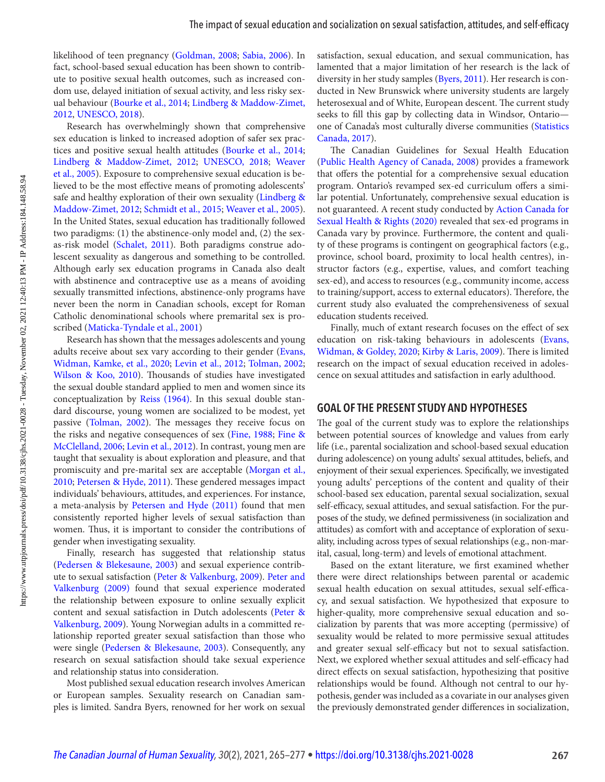<span id="page-3-0"></span>likelihood of teen pregnancy ([Goldman, 2008](#page-11-0); [Sabia, 2006](#page-13-0)). In fact, school-based sexual education has been shown to contribute to positive sexual health outcomes, such as increased condom use, delayed initiation of sexual activity, and less risky sexual behaviour (Bourke et al., 2014; Lindberg & Maddow-Zimet,

Research has overwhelmingly shown that comprehensive sex education is linked to increased adoption of safer sex practices and positive sexual health attitudes [\(Bourke et al., 2014](#page-10-0); [Lindberg & Maddow-Zimet, 2012](#page-12-0); [UNESCO, 2018](#page-13-0); [Weaver](#page-13-0)  [et al., 2005](#page-13-0)). Exposure to comprehensive sexual education is believed to be the most effective means of promoting adolescents' safe and healthy exploration of their own sexuality ([Lindberg &](#page-12-0) [Maddow-Zimet, 2012](#page-12-0); [Schmidt et al., 2015](#page-13-0); [Weaver et al., 2005](#page-13-0)). In the United States, sexual education has traditionally followed two paradigms: (1) the abstinence-only model and, (2) the sexas-risk model ([Schalet, 2011](#page-13-0)). Both paradigms construe adolescent sexuality as dangerous and something to be controlled. Although early sex education programs in Canada also dealt with abstinence and contraceptive use as a means of avoiding sexually transmitted infections, abstinence-only programs have never been the norm in Canadian schools, except for Roman Catholic denominational schools where premarital sex is proscribed ([Maticka-Tyndale et al., 2001](#page-12-0))

Research has shown that the messages adolescents and young adults receive about sex vary according to their gender (Evans, [Widman, Kamke, et al., 2020](#page-11-0); [Levin et al., 2012](#page-12-0); [Tolman, 2002](#page-13-0); [Wilson & Koo, 2010](#page-13-0)). Thousands of studies have investigated the sexual double standard applied to men and women since its conceptualization by [Reiss \(1964\)](#page-12-0). In this sexual double standard discourse, young women are socialized to be modest, yet passive ([Tolman, 2002](#page-13-0)). The messages they receive focus on the risks and negative consequences of sex ([Fine, 1988](#page-11-0); [Fine &](#page-11-0) [McClelland, 2006;](#page-11-0) [Levin et al., 2012](#page-12-0)). In contrast, young men are taught that sexuality is about exploration and pleasure, and that promiscuity and pre-marital sex are acceptable [\(Morgan et al.,](#page-12-0) [2010](#page-12-0); [Petersen & Hyde, 2011](#page-12-0)). These gendered messages impact individuals' behaviours, attitudes, and experiences. For instance, a meta-analysis by Petersen and Hyde (2011) found that men consistently reported higher levels of sexual satisfaction than women. Thus, it is important to consider the contributions of gender when investigating sexuality.

Finally, research has suggested that relationship status ([Pedersen & Blekesaune, 2003](#page-12-0)) and sexual experience contribute to sexual satisfaction ([Peter & Valkenburg, 2009](#page-12-0)). [Peter and](#page-12-0)  Valkenburg (2009) found that sexual experience moderated the relationship between exposure to online sexually explicit content and sexual satisfaction in Dutch adolescents ([Peter &](#page-12-0) [Valkenburg, 2009](#page-12-0)). Young Norwegian adults in a committed relationship reported greater sexual satisfaction than those who were single ([Pedersen & Blekesaune, 2003\)](#page-12-0). Consequently, any research on sexual satisfaction should take sexual experience and relationship status into consideration.

Most published sexual education research involves American or European samples. Sexuality research on Canadian samples is limited. Sandra Byers, renowned for her work on sexual

satisfaction, sexual education, and sexual communication, has lamented that a major limitation of her research is the lack of diversity in her study samples ([Byers, 2011](#page-10-0)). Her research is conducted in New Brunswick where university students are largely heterosexual and of White, European descent. The current study seeks to fill this gap by collecting data in Windsor, Ontario one of Canada's most culturally diverse communities ([Statistics](#page-13-0) [Canada, 2017](#page-13-0)).

 The Canadian Guidelines for Sexual Health Education ([Public Health Agency of Canada, 2008](#page-12-0)) provides a framework that offers the potential for a comprehensive sexual education program. Ontario's revamped sex-ed curriculum offers a similar potential. Unfortunately, comprehensive sexual education is not guaranteed. A recent study conducted by [Action Canada for](#page-10-0)  Sexual Health & Rights (2020) revealed that sex-ed programs in Canada vary by province. Furthermore, the content and quality of these programs is contingent on geographical factors (e.g., province, school board, proximity to local health centres), instructor factors (e.g., expertise, values, and comfort teaching sex-ed), and access to resources (e.g., community income, access to training/support, access to external educators). Therefore, the current study also evaluated the comprehensiveness of sexual education students received.

Finally, much of extant research focuses on the effect of sex education on risk-taking behaviours in adolescents ([Evans,](#page-11-0) [Widman, & Goldey, 2020](#page-11-0); [Kirby & Laris, 2009\)](#page-11-0). There is limited research on the impact of sexual education received in adolescence on sexual attitudes and satisfaction in early adulthood.

#### **GOAL OF THE PRESENT STUDY AND HYPOTHESES**

 The goal of the current study was to explore the relationships between potential sources of knowledge and values from early life (i.e., parental socialization and school-based sexual education during adolescence) on young adults' sexual attitudes, beliefs, and enjoyment of their sexual experiences. Specifically, we investigated young adults' perceptions of the content and quality of their school-based sex education, parental sexual socialization, sexual self-efficacy, sexual attitudes, and sexual satisfaction. For the purposes of the study, we defined permissiveness (in socialization and attitudes) as comfort with and acceptance of exploration of sexuality, including across types of sexual relationships (e.g., non-marital, casual, long-term) and levels of emotional attachment.

Based on the extant literature, we first examined whether there were direct relationships between parental or academic sexual health education on sexual attitudes, sexual self-efficacy, and sexual satisfaction. We hypothesized that exposure to higher-quality, more comprehensive sexual education and socialization by parents that was more accepting (permissive) of sexuality would be related to more permissive sexual attitudes and greater sexual self-efficacy but not to sexual satisfaction. Next, we explored whether sexual attitudes and self-efficacy had direct effects on sexual satisfaction, hypothesizing that positive relationships would be found. Although not central to our hypothesis, gender was included as a covariate in our analyses given the previously demonstrated gender differences in socialization,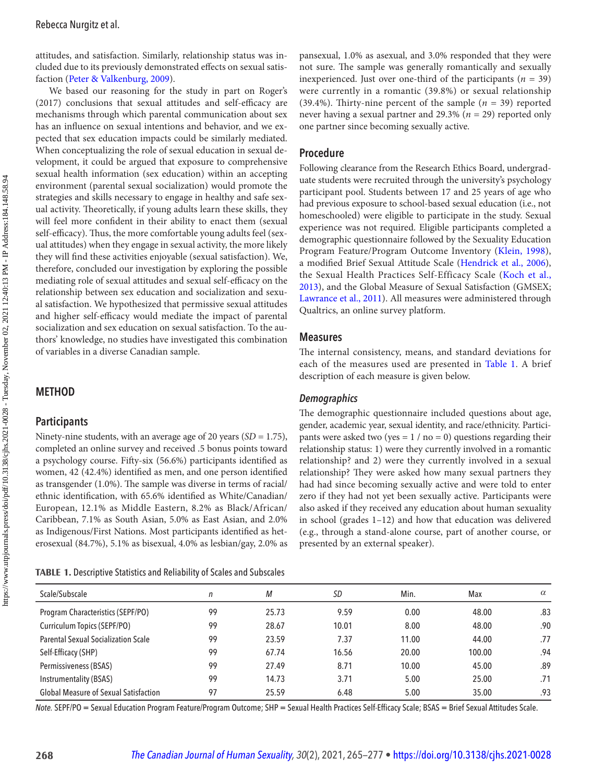<span id="page-4-0"></span>attitudes, and satisfaction. Similarly, relationship status was included due to its previously demonstrated effects on sexual satisfaction ([Peter & Valkenburg, 2009](#page-12-0)).

We based our reasoning for the study in part on Roger's (2017) conclusions that sexual attitudes and self-efficacy are mechanisms through which parental communication about sex has an influence on sexual intentions and behavior, and we expected that sex education impacts could be similarly mediated. When conceptualizing the role of sexual education in sexual development, it could be argued that exposure to comprehensive sexual health information (sex education) within an accepting environment (parental sexual socialization) would promote the strategies and skills necessary to engage in healthy and safe sexual activity. Theoretically, if young adults learn these skills, they will feel more confident in their ability to enact them (sexual self-efficacy). Thus, the more comfortable young adults feel (sexual attitudes) when they engage in sexual activity, the more likely they will find these activities enjoyable (sexual satisfaction). We, therefore, concluded our investigation by exploring the possible mediating role of sexual attitudes and sexual self-efficacy on the relationship between sex education and socialization and sexual satisfaction. We hypothesized that permissive sexual attitudes and higher self-efficacy would mediate the impact of parental socialization and sex education on sexual satisfaction. To the authors' knowledge, no studies have investigated this combination of variables in a diverse Canadian sample.

## **METHOD**

## **Participants**

Ninety-nine students, with an average age of 20 years  $(SD = 1.75)$ , completed an online survey and received .5 bonus points toward a psychology course. Fifty-six (56.6%) participants identified as women, 42 (42.4%) identified as men, and one person identified as transgender (1.0%). The sample was diverse in terms of racial/ ethnic identification, with 65.6% identified as White/Canadian/ European, 12.1% as Middle Eastern, 8.2% as Black/African/ Caribbean, 7.1% as South Asian, 5.0% as East Asian, and 2.0% as Indigenous/First Nations. Most participants identified as heterosexual (84.7%), 5.1% as bisexual, 4.0% as lesbian/gay, 2.0% as

**TABLE 1.** Descriptive Statistics and Reliability of Scales and Subscales

pansexual, 1.0% as asexual, and 3.0% responded that they were not sure. The sample was generally romantically and sexually inexperienced. Just over one-third of the participants ( $n = 39$ ) were currently in a romantic (39.8%) or sexual relationship (39.4%). Thirty-nine percent of the sample ( $n = 39$ ) reported never having a sexual partner and 29.3% ( $n = 29$ ) reported only one partner since becoming sexually active.

## **Procedure**

Following clearance from the Research Ethics Board, undergraduate students were recruited through the university's psychology participant pool. Students between 17 and 25 years of age who had previous exposure to school-based sexual education (i.e., not homeschooled) were eligible to participate in the study. Sexual experience was not required. Eligible participants completed a demographic questionnaire followed by the Sexuality Education Program Feature/Program Outcome Inventory ([Klein, 1998](#page-11-0)), a modified Brief Sexual Attitude Scale [\(Hendrick et al., 2006](#page-11-0)), the Sexual Health Practices Self-Efficacy Scale ([Koch et al.,](#page-11-0) [2013](#page-11-0)), and the Global Measure of Sexual Satisfaction (GMSEX; [Lawrance et al., 2011](#page-11-0)). All measures were administered through Qualtrics, an online survey platform.

## **Measures**

 The internal consistency, means, and standard deviations for each of the measures used are presented in Table 1. A brief description of each measure is given below.

## *Demographics*

 The demographic questionnaire included questions about age, gender, academic year, sexual identity, and race/ethnicity. Participants were asked two (yes =  $1 /$  no = 0) questions regarding their relationship status: 1) were they currently involved in a romantic relationship? and 2) were they currently involved in a sexual relationship? They were asked how many sexual partners they had had since becoming sexually active and were told to enter zero if they had not yet been sexually active. Participants were also asked if they received any education about human sexuality in school (grades 1–12) and how that education was delivered (e.g., through a stand-alone course, part of another course, or presented by an external speaker).

| Scale/Subscale                               | n  | М     | SD    | Min.  | Max    | $\alpha$ |
|----------------------------------------------|----|-------|-------|-------|--------|----------|
| Program Characteristics (SEPF/PO)            | 99 | 25.73 | 9.59  | 0.00  | 48.00  | .83      |
| Curriculum Topics (SEPF/PO)                  | 99 | 28.67 | 10.01 | 8.00  | 48.00  | .90      |
| <b>Parental Sexual Socialization Scale</b>   | 99 | 23.59 | 7.37  | 11.00 | 44.00  | .77      |
| Self-Efficacy (SHP)                          | 99 | 67.74 | 16.56 | 20.00 | 100.00 | .94      |
| Permissiveness (BSAS)                        | 99 | 27.49 | 8.71  | 10.00 | 45.00  | .89      |
| Instrumentality (BSAS)                       | 99 | 14.73 | 3.71  | 5.00  | 25.00  | .71      |
| <b>Global Measure of Sexual Satisfaction</b> | 97 | 25.59 | 6.48  | 5.00  | 35.00  | .93      |

*Note.* SEPF/PO = Sexual Education Program Feature/Program Outcome; SHP = Sexual Health Practices Self-Efficacy Scale; BSAS = Brief Sexual Attitudes Scale.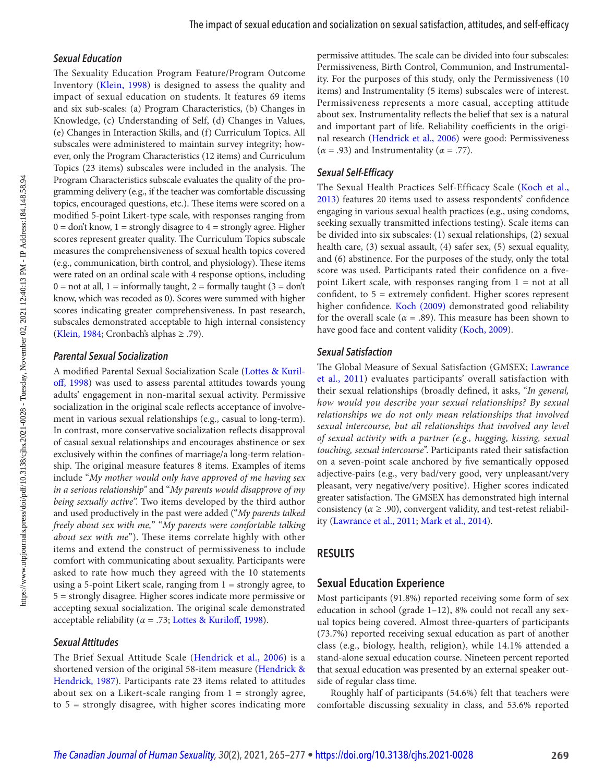#### <span id="page-5-0"></span> *Sexual Education*

 The Sexuality Education Program Feature/Program Outcome Inventory ([Klein, 1998\)](#page-11-0) is designed to assess the quality and impact of sexual education on students. It features 69 items and six sub-scales: (a) Program Characteristics, (b) Changes in Knowledge, (c) Understanding of Self, (d) Changes in Values, (e) Changes in Interaction Skills, and (f) Curriculum Topics. All subscales were administered to maintain survey integrity; however, only the Program Characteristics (12 items) and Curriculum Topics (23 items) subscales were included in the analysis. The Program Characteristics subscale evaluates the quality of the programming delivery (e.g., if the teacher was comfortable discussing topics, encouraged questions, etc.). These items were scored on a modified 5-point Likert-type scale, with responses ranging from  $0 =$  don't know,  $1 =$  strongly disagree to  $4 =$  strongly agree. Higher scores represent greater quality. The Curriculum Topics subscale measures the comprehensiveness of sexual health topics covered (e.g., communication, birth control, and physiology). These items were rated on an ordinal scale with 4 response options, including  $0 =$  not at all,  $1 =$  informally taught,  $2 =$  formally taught  $(3 =$  don't know, which was recoded as 0). Scores were summed with higher scores indicating greater comprehensiveness. In past research, subscales demonstrated acceptable to high internal consistency ([Klein, 1984](#page-11-0); Cronbach's alphas ≥ .79).

#### *Parental Sexual Socialization*

 A modified Parental Sexual Socialization Scale ([Lottes & Kuril](#page-12-0)[off, 1998](#page-12-0)) was used to assess parental attitudes towards young adults' engagement in non-marital sexual activity. Permissive socialization in the original scale reflects acceptance of involvement in various sexual relationships (e.g., casual to long-term). In contrast, more conservative socialization reflects disapproval of casual sexual relationships and encourages abstinence or sex exclusively within the confines of marriage/a long-term relationship. The original measure features 8 items. Examples of items include "My mother would only have approved of me having sex in a serious relationship" and " My parents would disapprove of my being sexually active". Two items developed by the third author and used productively in the past were added ("My parents talked freely about sex with me," "My parents were comfortable talking about sex with  $me$ "). These items correlate highly with other items and extend the construct of permissiveness to include comfort with communicating about sexuality. Participants were asked to rate how much they agreed with the 10 statements using a 5-point Likert scale, ranging from  $1 =$  strongly agree, to 5 = strongly disagree. Higher scores indicate more permissive or accepting sexual socialization. The original scale demonstrated acceptable reliability ( $\alpha$  = .73; Lottes & Kuriloff, 1998).

#### *Sexual Attitudes*

The Brief Sexual Attitude Scale ([Hendrick et al., 2006\)](#page-11-0) is a shortened version of the original 58-item measure ([Hendrick &](#page-11-0) [Hendrick, 1987](#page-11-0)). Participants rate 23 items related to attitudes about sex on a Likert-scale ranging from  $1 =$  strongly agree, to 5 = strongly disagree, with higher scores indicating more permissive attitudes. The scale can be divided into four subscales: Permissiveness, Birth Control, Communion, and Instrumentality. For the purposes of this study, only the Permissiveness (10 items) and Instrumentality (5 items) subscales were of interest. Permissiveness represents a more casual, accepting attitude about sex. Instrumentality reflects the belief that sex is a natural and important part of life. Reliability coefficients in the original research ([Hendrick et al., 2006](#page-11-0)) were good: Permissiveness  $(\alpha = .93)$  and Instrumentality ( $\alpha = .77$ ).

#### *Sexual Self-Efficacy*

The Sexual Health Practices Self-Efficacy Scale ([Koch et al.,](#page-11-0)  [2013](#page-11-0)) features 20 items used to assess respondents' confidence engaging in various sexual health practices (e.g., using condoms, seeking sexually transmitted infections testing). Scale items can be divided into six subscales: (1) sexual relationships, (2) sexual health care, (3) sexual assault, (4) safer sex, (5) sexual equality, and (6) abstinence. For the purposes of the study, only the total score was used. Participants rated their confidence on a fivepoint Likert scale, with responses ranging from  $1 = not$  at all confident, to 5 = extremely confident. Higher scores represent higher confidence. Koch (2009) demonstrated good reliability for the overall scale ( $\alpha = .89$ ). This measure has been shown to have good face and content validity ([Koch, 2009\)](#page-11-0).

#### *Sexual Satisfaction*

 The Global Measure of Sexual Satisfaction (GMSEX; [Lawrance](#page-11-0) [et al., 2011](#page-11-0)) evaluates participants' overall satisfaction with their sexual relationships (broadly defined, it asks, "In general, how would you describe your sexual relationships? By sexual relationships we do not only mean relationships that involved sexual intercourse, but all relationships that involved any level of sexual activity with a partner (e.g., hugging, kissing, sexual touching, sexual intercourse". Participants rated their satisfaction on a seven-point scale anchored by five semantically opposed adjective-pairs (e.g., very bad/very good, very unpleasant/very pleasant, very negative/very positive). Higher scores indicated greater satisfaction. The GMSEX has demonstrated high internal consistency ( $\alpha \geq .90$ ), convergent validity, and test-retest reliability ([Lawrance et al., 2011](#page-11-0); [Mark et al., 2014](#page-12-0)).

#### **RESULTS**

#### **Sexual Education Experience**

Most participants (91.8%) reported receiving some form of sex education in school (grade 1–12), 8% could not recall any sexual topics being covered. Almost three-quarters of participants (73.7%) reported receiving sexual education as part of another class (e.g., biology, health, religion), while 14.1% attended a stand-alone sexual education course. Nineteen percent reported that sexual education was presented by an external speaker outside of regular class time.

Roughly half of participants (54.6%) felt that teachers were comfortable discussing sexuality in class, and 53.6% reported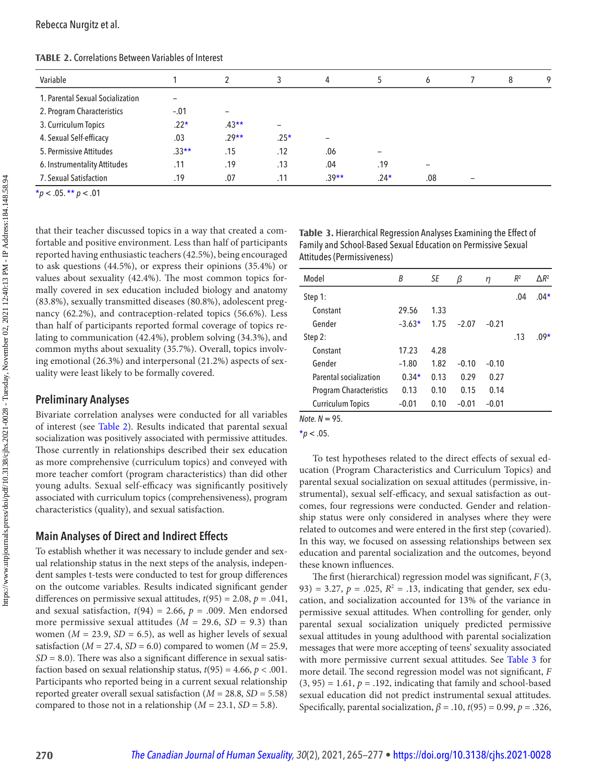Rebecca Nurgitz et al.

| Variable                         |         |                          |                          | 4       |        | <sub>6</sub> | 8 | 9 |
|----------------------------------|---------|--------------------------|--------------------------|---------|--------|--------------|---|---|
| 1. Parental Sexual Socialization |         |                          |                          |         |        |              |   |   |
| 2. Program Characteristics       | $-.01$  | $\overline{\phantom{0}}$ |                          |         |        |              |   |   |
| 3. Curriculum Topics             | $.22*$  | $.43**$                  | $\overline{\phantom{a}}$ |         |        |              |   |   |
| 4. Sexual Self-efficacy          | .03     | $.29**$                  | $.25*$                   | -       |        |              |   |   |
| 5. Permissive Attitudes          | $.33**$ | .15                      | .12                      | .06     |        |              |   |   |
| 6. Instrumentality Attitudes     | .11     | .19                      | .13                      | .04     | .19    |              |   |   |
| 7. Sexual Satisfaction           | .19     | .07                      | .11                      | $.39**$ | $.24*$ | .08          |   |   |

**TABLE 2.** Correlations Between Variables of Interest

 $\frac{1}{\ast}p < .05. \frac{\ast \ast}{p} < .01$ 

that their teacher discussed topics in a way that created a comfortable and positive environment. Less than half of participants reported having enthusiastic teachers (42.5%), being encouraged to ask questions (44.5%), or express their opinions (35.4%) or values about sexuality (42.4%). The most common topics formally covered in sex education included biology and anatomy (83.8%), sexually transmitted diseases (80.8%), adolescent pregnancy (62.2%), and contraception-related topics (56.6%). Less than half of participants reported formal coverage of topics relating to communication (42.4%), problem solving (34.3%), and common myths about sexuality (35.7%). Overall, topics involving emotional (26.3%) and interpersonal (21.2%) aspects of sexuality were least likely to be formally covered.

## **Preliminary Analyses**

Bivariate correlation analyses were conducted for all variables of interest (see Table 2). Results indicated that parental sexual socialization was positively associated with permissive attitudes. Those currently in relationships described their sex education as more comprehensive (curriculum topics) and conveyed with more teacher comfort (program characteristics) than did other young adults. Sexual self-efficacy was significantly positively associated with curriculum topics (comprehensiveness), program characteristics (quality), and sexual satisfaction.

## **Main Analyses of Direct and Indirect Effects**

To establish whether it was necessary to include gender and sexual relationship status in the next steps of the analysis, independent samples t-tests were conducted to test for group differences on the outcome variables. Results indicated significant gender differences on permissive sexual attitudes,  $t(95) = 2.08$ ,  $p = .041$ , and sexual satisfaction,  $t(94) = 2.66$ ,  $p = .009$ . Men endorsed more permissive sexual attitudes ( $M = 29.6$ ,  $SD = 9.3$ ) than women ( $M = 23.9$ ,  $SD = 6.5$ ), as well as higher levels of sexual satisfaction ( $M = 27.4$ ,  $SD = 6.0$ ) compared to women ( $M = 25.9$ ,  $SD = 8.0$ ). There was also a significant difference in sexual satisfaction based on sexual relationship status,  $t(95) = 4.66$ ,  $p < .001$ . Participants who reported being in a current sexual relationship reported greater overall sexual satisfaction ( $M = 28.8$ ,  $SD = 5.58$ ) compared to those not in a relationship ( $M = 23.1$ ,  $SD = 5.8$ ).

**Table 3.** Hierarchical Regression Analyses Examining the Effect of Family and School-Based Sexual Education on Permissive Sexual Attitudes (Permissiveness)

| Model                          | B        | SE   | β       | η       | $R^2$ | $\Delta R^2$ |
|--------------------------------|----------|------|---------|---------|-------|--------------|
| Step 1:                        |          |      |         |         | .04   | $.04*$       |
| Constant                       | 29.56    | 1.33 |         |         |       |              |
| Gender                         | $-3.63*$ | 1.75 | $-2.07$ | $-0.21$ |       |              |
| Step 2:                        |          |      |         |         | .13   | $.09*$       |
| Constant                       | 17.23    | 4.28 |         |         |       |              |
| Gender                         | $-1.80$  | 1.82 | $-0.10$ | $-0.10$ |       |              |
| Parental socialization         | $0.34*$  | 0.13 | 0.29    | 0.27    |       |              |
| <b>Program Characteristics</b> | 0.13     | 0.10 | 0.15    | 0.14    |       |              |
| <b>Curriculum Topics</b>       | $-0.01$  | 0.10 | $-0.01$ | $-0.01$ |       |              |

*Note. N* = 95.

To test hypotheses related to the direct effects of sexual education (Program Characteristics and Curriculum Topics) and parental sexual socialization on sexual attitudes (permissive, instrumental), sexual self-efficacy, and sexual satisfaction as outcomes, four regressions were conducted. Gender and relationship status were only considered in analyses where they were related to outcomes and were entered in the first step (covaried). In this way, we focused on assessing relationships between sex education and parental socialization and the outcomes, beyond these known influences.

The first (hierarchical) regression model was significant,  $F(3, 1)$ 93) = 3.27,  $p = .025$ ,  $R^2 = .13$ , indicating that gender, sex education, and socialization accounted for 13% of the variance in permissive sexual attitudes. When controlling for gender, only parental sexual socialization uniquely predicted permissive sexual attitudes in young adulthood with parental socialization messages that were more accepting of teens' sexuality associated with more permissive current sexual attitudes. See Table 3 for more detail. The second regression model was not significant,  $F$  $(3, 95) = 1.61$ ,  $p = .192$ , indicating that family and school-based sexual education did not predict instrumental sexual attitudes. Specifically, parental socialization,  $\beta = .10$ ,  $t(95) = 0.99$ ,  $p = .326$ ,

 $*_{p}$  < .05.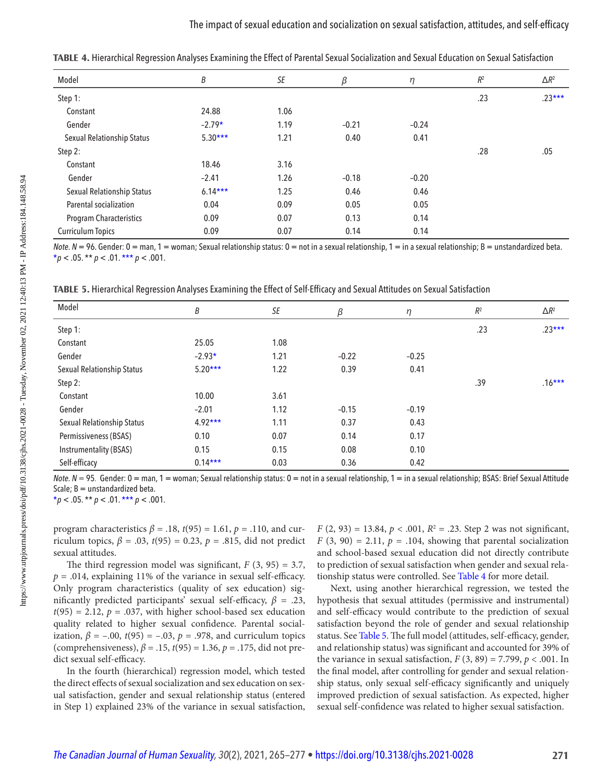| Model                      | В         | SE   | β       | $\eta$  | $R^2$ | $\Delta R^2$ |
|----------------------------|-----------|------|---------|---------|-------|--------------|
| Step 1:                    |           |      |         |         | .23   | $.23***$     |
| Constant                   | 24.88     | 1.06 |         |         |       |              |
| Gender                     | $-2.79*$  | 1.19 | $-0.21$ | $-0.24$ |       |              |
| Sexual Relationship Status | $5.30***$ | 1.21 | 0.40    | 0.41    |       |              |
| Step 2:                    |           |      |         |         | .28   | .05          |
| Constant                   | 18.46     | 3.16 |         |         |       |              |
| Gender                     | $-2.41$   | 1.26 | $-0.18$ | $-0.20$ |       |              |
| Sexual Relationship Status | $6.14***$ | 1.25 | 0.46    | 0.46    |       |              |
| Parental socialization     | 0.04      | 0.09 | 0.05    | 0.05    |       |              |
| Program Characteristics    | 0.09      | 0.07 | 0.13    | 0.14    |       |              |
| <b>Curriculum Topics</b>   | 0.09      | 0.07 | 0.14    | 0.14    |       |              |
|                            |           |      |         |         |       |              |

**TABLE 4 .** Hierarchical Regression Analyses Examining the Effect of Parental Sexual Socialization and Sexual Education on Sexual Satisfaction

*Note. N* = 96. Gender: 0 = man, 1 = woman; Sexual relationship status: 0 = not in a sexual relationship, 1 = in a sexual relationship; B = unstandardized beta.  $*_p$  < .05. \*\* *p* < .01. \*\*\* *p* < .001.

**TABLE 5.** Hierarchical Regression Analyses Examining the Effect of Self-Efficacy and Sexual Attitudes on Sexual Satisfaction

| Model                      | Β         | SE   | β       | η       | $R^2$ | $\Delta R^2$ |
|----------------------------|-----------|------|---------|---------|-------|--------------|
| Step 1:                    |           |      |         |         | .23   | $.23***$     |
| Constant                   | 25.05     | 1.08 |         |         |       |              |
| Gender                     | $-2.93*$  | 1.21 | $-0.22$ | $-0.25$ |       |              |
| Sexual Relationship Status | $5.20***$ | 1.22 | 0.39    | 0.41    |       |              |
| Step 2:                    |           |      |         |         | .39   | $.16***$     |
| Constant                   | 10.00     | 3.61 |         |         |       |              |
| Gender                     | $-2.01$   | 1.12 | $-0.15$ | $-0.19$ |       |              |
| Sexual Relationship Status | $4.92***$ | 1.11 | 0.37    | 0.43    |       |              |
| Permissiveness (BSAS)      | 0.10      | 0.07 | 0.14    | 0.17    |       |              |
| Instrumentality (BSAS)     | 0.15      | 0.15 | 0.08    | 0.10    |       |              |
| Self-efficacy              | $0.14***$ | 0.03 | 0.36    | 0.42    |       |              |
|                            |           |      |         |         |       |              |

*Note. N* = 95. Gender: 0 = man, 1 = woman; Sexual relationship status: 0 = not in a sexual relationship, 1 = in a sexual relationship; BSAS: Brief Sexual Attitude Scale;  $B =$  unstandardized beta.

 $**p* < .05.** *p* < .01.*** *p* < .001.$ 

program characteristics  $\beta$  = .18,  $t(95)$  = 1.61,  $p$  = .110, and curriculum topics,  $\beta = .03$ ,  $t(95) = 0.23$ ,  $p = .815$ , did not predict sexual attitudes.

The third regression model was significant,  $F(3, 95) = 3.7$ ,  $p = .014$ , explaining 11% of the variance in sexual self-efficacy. Only program characteristics (quality of sex education) significantly predicted participants' sexual self-efficacy,  $\beta$  = .23,  $t(95) = 2.12$ ,  $p = .037$ , with higher school-based sex education quality related to higher sexual confidence. Parental socialization,  $\beta$  = -.00,  $t(95)$  = -.03,  $p$  = .978, and curriculum topics (comprehensiveness),  $\beta = .15$ ,  $t(95) = 1.36$ ,  $p = .175$ , did not predict sexual self-efficacy.

In the fourth (hierarchical) regression model, which tested the direct effects of sexual socialization and sex education on sexual satisfaction, gender and sexual relationship status (entered in Step 1) explained 23% of the variance in sexual satisfaction,  $F(2, 93) = 13.84, p < .001, R<sup>2</sup> = .23$ . Step 2 was not significant,  $F(3, 90) = 2.11$ ,  $p = .104$ , showing that parental socialization and school-based sexual education did not directly contribute to prediction of sexual satisfaction when gender and sexual relationship status were controlled. See Table 4 for more detail.

Next, using another hierarchical regression, we tested the hypothesis that sexual attitudes (permissive and instrumental) and self-efficacy would contribute to the prediction of sexual satisfaction beyond the role of gender and sexual relationship status. See Table 5. The full model (attitudes, self-efficacy, gender, and relationship status) was significant and accounted for 39% of the variance in sexual satisfaction,  $F(3, 89) = 7.799$ ,  $p < .001$ . In the final model, after controlling for gender and sexual relationship status, only sexual self-efficacy significantly and uniquely improved prediction of sexual satisfaction. As expected, higher sexual self-confidence was related to higher sexual satisfaction.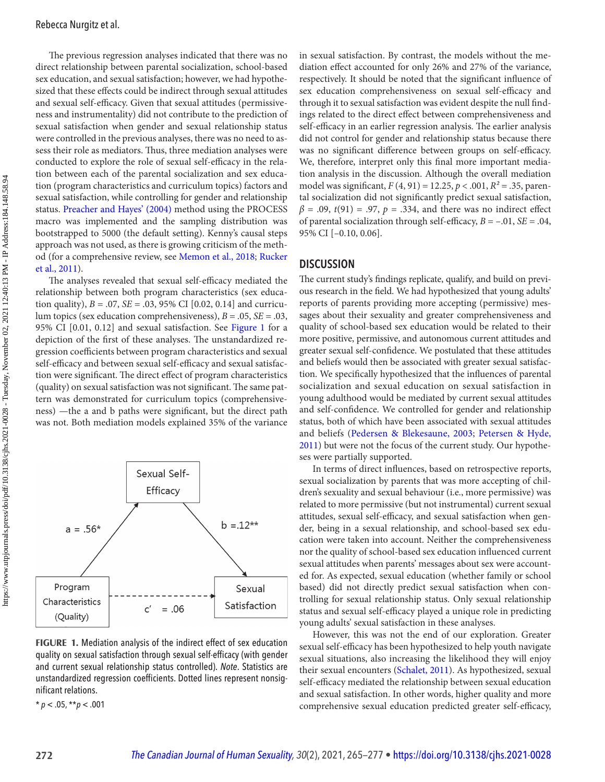<span id="page-8-0"></span> The previous regression analyses indicated that there was no direct relationship between parental socialization, school-based sex education, and sexual satisfaction; however, we had hypothesized that these effects could be indirect through sexual attitudes and sexual self-efficacy. Given that sexual attitudes (permissiveness and instrumentality) did not contribute to the prediction of sexual satisfaction when gender and sexual relationship status were controlled in the previous analyses, there was no need to assess their role as mediators. Thus, three mediation analyses were conducted to explore the role of sexual self-efficacy in the relation between each of the parental socialization and sex education (program characteristics and curriculum topics) factors and sexual satisfaction, while controlling for gender and relationship status. Preacher and Hayes' (2004) method using the PROCESS macro was implemented and the sampling distribution was bootstrapped to 5000 (the default setting). Kenny's causal steps approach was not used, as there is growing criticism of the method (for a comprehensive review, see [Memon et al., 2018](#page-12-0); [Rucker](#page-13-0)  [et al., 2011](#page-13-0)).

The analyses revealed that sexual self-efficacy mediated the relationship between both program characteristics (sex education quality),  $B = .07$ ,  $SE = .03$ , 95% CI [0.02, 0.14] and curriculum topics (sex education comprehensiveness),  $B = .05$ ,  $SE = .03$ , 95% CI [0.01, 0.12] and sexual satisfaction. See Figure 1 for a depiction of the first of these analyses. The unstandardized regression coefficients between program characteristics and sexual self-efficacy and between sexual self-efficacy and sexual satisfaction were significant. The direct effect of program characteristics (quality) on sexual satisfaction was not significant. The same pattern was demonstrated for curriculum topics (comprehensiveness) —the a and b paths were significant, but the direct path was not. Both mediation models explained 35% of the variance



**FIGURE 1.** Mediation analysis of the indirect effect of sex education quality on sexual satisfaction through sexual self-efficacy (with gender and current sexual relationship status controlled) . *Note*. Statistics are unstandardized regression coefficients. Dotted lines represent nonsignificant relations.

\* *p* < .05, \*\* *p* < .001

in sexual satisfaction. By contrast, the models without the mediation effect accounted for only 26% and 27% of the variance, respectively. It should be noted that the significant influence of sex education comprehensiveness on sexual self-efficacy and through it to sexual satisfaction was evident despite the null findings related to the direct effect between comprehensiveness and self-efficacy in an earlier regression analysis. The earlier analysis did not control for gender and relationship status because there was no significant difference between groups on self-efficacy. We, therefore, interpret only this final more important mediation analysis in the discussion. Although the overall mediation model was significant,  $F(4, 91) = 12.25, p < .001, R^2 = .35$ , parental socialization did not significantly predict sexual satisfaction,  $\beta$  = .09,  $t(91)$  = .97,  $p$  = .334, and there was no indirect effect of parental socialization through self-efficacy,  $B = -0.01$ ,  $SE = 0.04$ , 95% CI [–0.10, 0.06].

## **DISCUSSION**

 The current study's findings replicate, qualify, and build on previous research in the field. We had hypothesized that young adults' reports of parents providing more accepting (permissive) messages about their sexuality and greater comprehensiveness and quality of school-based sex education would be related to their more positive, permissive, and autonomous current attitudes and greater sexual self-confidence. We postulated that these attitudes and beliefs would then be associated with greater sexual satisfaction. We specifically hypothesized that the influences of parental socialization and sexual education on sexual satisfaction in young adulthood would be mediated by current sexual attitudes and self-confidence. We controlled for gender and relationship status, both of which have been associated with sexual attitudes and beliefs ([Pedersen & Blekesaune, 2003](#page-12-0); [Petersen & Hyde,](#page-12-0)  [2011](#page-12-0)) but were not the focus of the current study. Our hypotheses were partially supported.

In terms of direct influences, based on retrospective reports, sexual socialization by parents that was more accepting of children's sexuality and sexual behaviour (i.e., more permissive) was related to more permissive (but not instrumental) current sexual attitudes, sexual self-efficacy, and sexual satisfaction when gender, being in a sexual relationship, and school-based sex education were taken into account. Neither the comprehensiveness nor the quality of school-based sex education influenced current sexual attitudes when parents' messages about sex were accounted for. As expected, sexual education (whether family or school based) did not directly predict sexual satisfaction when controlling for sexual relationship status. Only sexual relationship status and sexual self-efficacy played a unique role in predicting young adults' sexual satisfaction in these analyses.

However, this was not the end of our exploration. Greater sexual self-efficacy has been hypothesized to help youth navigate sexual situations, also increasing the likelihood they will enjoy their sexual encounters ([Schalet, 2011](#page-13-0)). As hypothesized, sexual self-efficacy mediated the relationship between sexual education and sexual satisfaction. In other words, higher quality and more comprehensive sexual education predicted greater self-efficacy,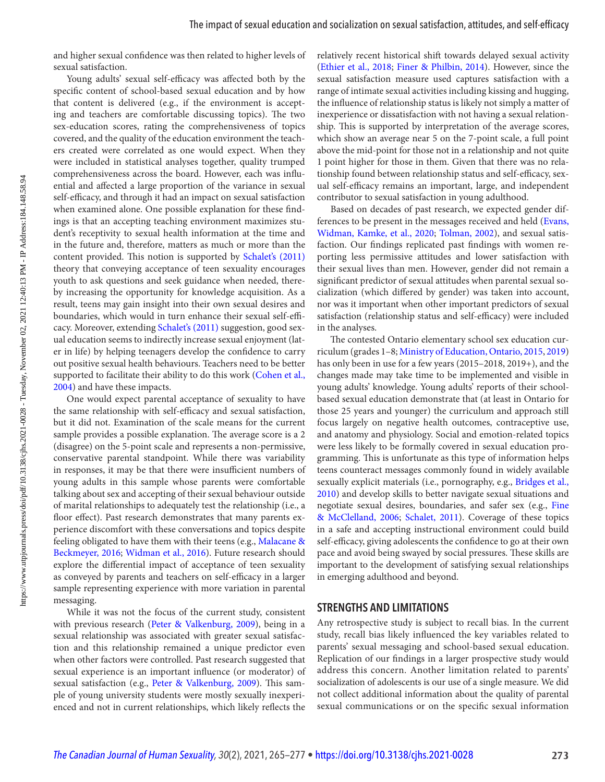<span id="page-9-0"></span>and higher sexual confidence was then related to higher levels of sexual satisfaction.

Young adults' sexual self-efficacy was affected both by the specific content of school-based sexual education and by how that content is delivered (e.g., if the environment is accepting and teachers are comfortable discussing topics). The two sex-education scores, rating the comprehensiveness of topics covered, and the quality of the education environment the teachers created were correlated as one would expect. When they were included in statistical analyses together, quality trumped comprehensiveness across the board. However, each was influential and affected a large proportion of the variance in sexual self-efficacy, and through it had an impact on sexual satisfaction when examined alone. One possible explanation for these findings is that an accepting teaching environment maximizes student's receptivity to sexual health information at the time and in the future and, therefore, matters as much or more than the content provided. This notion is supported by Schalet's (2011) theory that conveying acceptance of teen sexuality encourages youth to ask questions and seek guidance when needed, thereby increasing the opportunity for knowledge acquisition. As a result, teens may gain insight into their own sexual desires and boundaries, which would in turn enhance their sexual self-efficacy. Moreover, extending Schalet's (2011) suggestion, good sexual education seems to indirectly increase sexual enjoyment (later in life) by helping teenagers develop the confidence to carry out positive sexual health behaviours. Teachers need to be better supported to facilitate their ability to do this work ([Cohen et al.,](#page-10-0) [2004](#page-10-0)) and have these impacts.

One would expect parental acceptance of sexuality to have the same relationship with self-efficacy and sexual satisfaction, but it did not. Examination of the scale means for the current sample provides a possible explanation. The average score is a 2 (disagree) on the 5-point scale and represents a non-permissive, conservative parental standpoint. While there was variability in responses, it may be that there were insufficient numbers of young adults in this sample whose parents were comfortable talking about sex and accepting of their sexual behaviour outside of marital relationships to adequately test the relationship (i.e., a floor effect). Past research demonstrates that many parents experience discomfort with these conversations and topics despite feeling obligated to have them with their teens (e.g., [Malacane &](#page-12-0)  [Beckmeyer, 2016](#page-12-0); [Widman et al., 2016](#page-13-0)). Future research should explore the differential impact of acceptance of teen sexuality as conveyed by parents and teachers on self-efficacy in a larger sample representing experience with more variation in parental messaging.

While it was not the focus of the current study, consistent with previous research ([Peter & Valkenburg, 2009](#page-12-0)), being in a sexual relationship was associated with greater sexual satisfaction and this relationship remained a unique predictor even when other factors were controlled. Past research suggested that sexual experience is an important influence (or moderator) of sexual satisfaction (e.g., [Peter & Valkenburg, 2009](#page-12-0)). This sample of young university students were mostly sexually inexperienced and not in current relationships, which likely reflects the relatively recent historical shift towards delayed sexual activity ([Ethier et al., 2018](#page-11-0); [Finer & Philbin, 2014](#page-11-0)). However, since the sexual satisfaction measure used captures satisfaction with a range of intimate sexual activities including kissing and hugging, the influence of relationship status is likely not simply a matter of inexperience or dissatisfaction with not having a sexual relationship. This is supported by interpretation of the average scores, which show an average near 5 on the 7-point scale, a full point above the mid-point for those not in a relationship and not quite 1 point higher for those in them. Given that there was no relationship found between relationship status and self-efficacy, sexual self-efficacy remains an important, large, and independent contributor to sexual satisfaction in young adulthood.

Based on decades of past research, we expected gender differences to be present in the messages received and held (Evans, [Widman, Kamke, et al., 2020](#page-11-0); [Tolman, 2002](#page-13-0)), and sexual satisfaction. Our findings replicated past findings with women reporting less permissive attitudes and lower satisfaction with their sexual lives than men. However, gender did not remain a significant predictor of sexual attitudes when parental sexual socialization (which differed by gender) was taken into account, nor was it important when other important predictors of sexual satisfaction (relationship status and self-efficacy) were included in the analyses.

 The contested Ontario elementary school sex education curriculum (grades 1–8; [Ministry of Education, Ontario, 2015](#page-12-0), [2019](#page-12-0)) has only been in use for a few years (2015–2018, 2019+), and the changes made may take time to be implemented and visible in young adults' knowledge. Young adults' reports of their schoolbased sexual education demonstrate that (at least in Ontario for those 25 years and younger) the curriculum and approach still focus largely on negative health outcomes, contraceptive use, and anatomy and physiology. Social and emotion-related topics were less likely to be formally covered in sexual education programming. This is unfortunate as this type of information helps teens counteract messages commonly found in widely available sexually explicit materials (i.e., pornography, e.g., Bridges et al., [2010](#page-10-0)) and develop skills to better navigate sexual situations and negotiate sexual desires, boundaries, and safer sex (e.g., [Fine](#page-11-0)  [& McClelland, 2006;](#page-11-0) [Schalet, 2011](#page-13-0)). Coverage of these topics in a safe and accepting instructional environment could build self-efficacy, giving adolescents the confidence to go at their own pace and avoid being swayed by social pressures. These skills are important to the development of satisfying sexual relationships in emerging adulthood and beyond.

#### **STRENGTHS AND LIMITATIONS**

Any retrospective study is subject to recall bias. In the current study, recall bias likely influenced the key variables related to parents' sexual messaging and school-based sexual education. Replication of our findings in a larger prospective study would address this concern. Another limitation related to parents' socialization of adolescents is our use of a single measure. We did not collect additional information about the quality of parental sexual communications or on the specific sexual information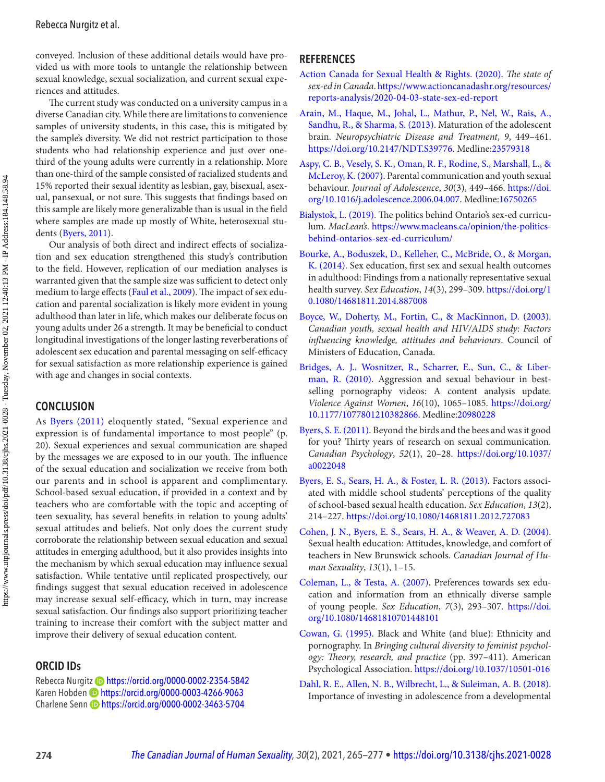<span id="page-10-0"></span>conveyed. Inclusion of these additional details would have provided us with more tools to untangle the relationship between sexual knowledge, sexual socialization, and current sexual experiences and attitudes.

 The current study was conducted on a university campus in a diverse Canadian city. While there are limitations to convenience samples of university students, in this case, this is mitigated by the sample's diversity. We did not restrict participation to those students who had relationship experience and just over onethird of the young adults were currently in a relationship. More than one-third of the sample consisted of racialized students and 15% reported their sexual identity as lesbian, gay, bisexual, asexual, pansexual, or not sure. This suggests that findings based on this sample are likely more generalizable than is usual in the field where samples are made up mostly of White, heterosexual students (Byers, 2011).

Our analysis of both direct and indirect effects of socialization and sex education strengthened this study's contribution to the field. However, replication of our mediation analyses is warranted given that the sample size was sufficient to detect only medium to large effects ([Faul et al., 2009](#page-11-0)). The impact of sex education and parental socialization is likely more evident in young adulthood than later in life, which makes our deliberate focus on young adults under 26 a strength. It may be beneficial to conduct longitudinal investigations of the longer lasting reverberations of adolescent sex education and parental messaging on self-efficacy for sexual satisfaction as more relationship experience is gained with age and changes in social contexts.

## **CONCLUSION**

As Byers (2011) eloquently stated, "Sexual experience and expression is of fundamental importance to most people" (p. 20). Sexual experiences and sexual communication are shaped by the messages we are exposed to in our youth. The influence of the sexual education and socialization we receive from both our parents and in school is apparent and complimentary. School-based sexual education, if provided in a context and by teachers who are comfortable with the topic and accepting of teen sexuality, has several benefits in relation to young adults' sexual attitudes and beliefs. Not only does the current study corroborate the relationship between sexual education and sexual attitudes in emerging adulthood, but it also provides insights into the mechanism by which sexual education may influence sexual satisfaction. While tentative until replicated prospectively, our findings suggest that sexual education received in adolescence may increase sexual self-efficacy, which in turn, may increase sexual satisfaction. Our findings also support prioritizing teacher training to increase their comfort with the subject matter and improve their delivery of sexual education content.

## **ORCID IDs**

Rebecca Nurgitz Dhttps://orcid.org/0000-0002-2354-5842 Karen Hobden D https://orcid.org/0000-0003-4266-9063 Charlene Senn D<https://orcid.org/0000-0002-3463-5704>

## **REFERENCES**

- Action Canada for Sexual Health & Rights. (2020). The state of sex-ed in Canada. [https://www.actioncanadashr.org/resources/](https://www.actioncanadashr.org/resources/reports-analysis/2020-04-03-state-sex-ed-report) [reports-analysis/2020-04-03-state-sex-ed-report](https://www.actioncanadashr.org/resources/reports-analysis/2020-04-03-state-sex-ed-report)
- Arain, M., Haque, M., Johal, L., Mathur, P., Nel, W., Rais, A., Sandhu, R., & Sharma, S. (2013). Maturation of the adolescent brain. Neuropsychiatric Disease and Treatment, 9, 449-461. <https://doi.org/10.2147/NDT.S39776>. Medline:[23579318](https://preview.ncbi.nlm.nih.gov/pubmed/?term=23579318)
- Aspy, C. B., Vesely, S. K., Oman, R. F., Rodine, S., Marshall, L., & McLeroy, K. (2007). Parental communication and youth sexual behaviour. Journal of Adolescence, 30(3), 449-466. [https://doi.](https://doi.org/10.1016/j.adolescence.2006.04.007) [org/10.1016/j.adolescence.2006.04.007](https://doi.org/10.1016/j.adolescence.2006.04.007). Medline:[16750265](https://preview.ncbi.nlm.nih.gov/pubmed/?term=16750265)
- Bialystok, L. (2019). The politics behind Ontario's sex-ed curriculum. MacLean's. [https://www.macleans.ca/opinion/the-politics](https://www.macleans.ca/opinion/the-politics-behind-ontarios-sex-ed-curriculum/)[behind-ontarios-sex-ed-curriculum/](https://www.macleans.ca/opinion/the-politics-behind-ontarios-sex-ed-curriculum/)
- Bourke, A., Boduszek, D., Kelleher, C., McBride, O., & Morgan, K. (2014). Sex education, first sex and sexual health outcomes in adulthood: Findings from a nationally representative sexual health survey. Sex Education, 14(3), 299-309. [https://doi.org/1](https://doi.org/10.1080/14681811.2014.887008) [0.1080/14681811.2014.887008](https://doi.org/10.1080/14681811.2014.887008)
- Boyce, W., Doherty, M., Fortin, C., & MacKinnon, D. (2003). Canadian youth, sexual health and HIV/AIDS study: Factors influencing knowledge, attitudes and behaviours. Council of Ministers of Education, Canada.
- Bridges, A. J., Wosnitzer, R., Scharrer, E., Sun, C., & Liberman, R. (2010). Aggression and sexual behaviour in bestselling pornography videos: A content analysis update. Violence Against Women, 16(10), 1065-1085. https://doi.org/ [10.1177/1077801210382866](https://doi.org/10.1177/1077801210382866). Medline:[20980228](https://preview.ncbi.nlm.nih.gov/pubmed/?term=20980228)
- Byers, S. E. (2011). Beyond the birds and the bees and was it good for you? Thirty years of research on sexual communication. Canadian Psychology, 52(1), 20-28. https://doi.org/10.1037/ [a0022048](https://doi.org/10.1037/a0022048)
- Byers, E. S., Sears, H. A., & Foster, L. R. (2013). Factors associated with middle school students' perceptions of the quality of school-based sexual health education. Sex Education, 13(2), 214 – 227 . <https://doi.org/10.1080/14681811.2012.727083>
- Cohen, J. N., Byers, E. S., Sears, H. A., & Weaver, A. D. (2004). Sexual health education: Attitudes, knowledge, and comfort of teachers in New Brunswick schools . Canadian Journal of Human Sexuality,  $13(1)$ ,  $1-15$ .
- Coleman, L., & Testa, A. (2007). Preferences towards sex education and information from an ethnically diverse sample of young people. Sex Education, 7(3), 293-307. https://doi. [org/10.1080/14681810701448101](https://doi.org/10.1080/14681810701448101)
- Cowan, G. (1995). Black and White (and blue): Ethnicity and pornography. In Bringing cultural diversity to feminist psychology: Theory, research, and practice (pp. 397-411). American Psychological Association . <https://doi.org/10.1037/10501-016>
- Dahl, R. E., Allen, N. B., Wilbrecht, L., & Suleiman, A. B. (2018). Importance of investing in adolescence from a developmental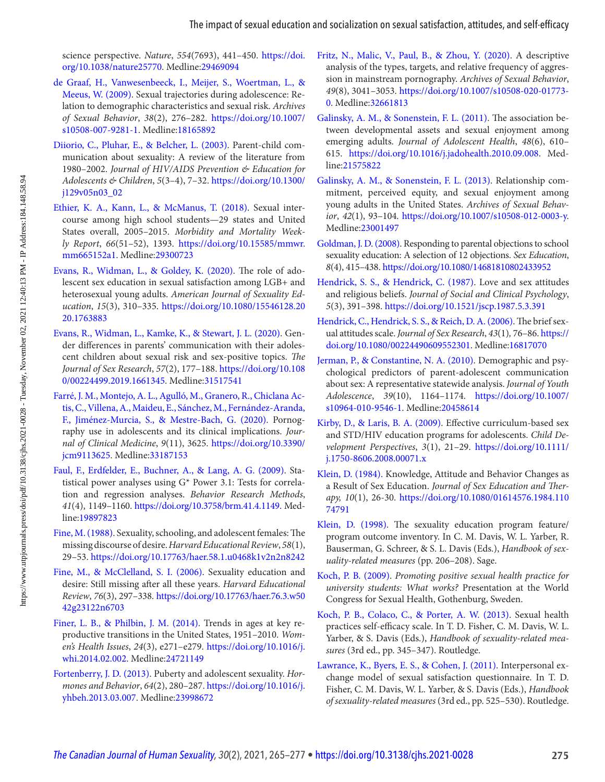<span id="page-11-0"></span>science perspective. Nature, 554(7693), 441-450. [https://doi.](https://doi.org/10.1038/nature25770) [org/10.1038/nature25770](https://doi.org/10.1038/nature25770). Medline:[29469094](https://preview.ncbi.nlm.nih.gov/pubmed/?term=29469094) 

- de Graaf, H., Vanwesenbeeck, I., Meijer, S., Woertman, L., & Meeus, W. (2009). Sexual trajectories during adolescence: Relation to demographic characteristics and sexual risk. Archives of Sexual Behavior, 38(2), 276-282. [https://doi.org/10.1007/](https://doi.org/10.1007/s10508-007-9281-1) [s10508-007-9281-1](https://doi.org/10.1007/s10508-007-9281-1). Medline:[18165892](https://preview.ncbi.nlm.nih.gov/pubmed/?term=18165892)
- Diiorio, C., Pluhar, E., & Belcher, L. (2003). Parent-child communication about sexuality: A review of the literature from 1980–2002. Journal of HIV/AIDS Prevention & Education for Adolescents & Children, 5( 3–4 ), 7 – 32 . [https://doi.org/10.1300/](https://doi.org/10.1300/j129v05n03_02) [j129v05n03\\_02](https://doi.org/10.1300/j129v05n03_02)
- Ethier, K. A., Kann, L., & McManus, T. (2018). Sexual intercourse among high school students—29 states and United States overall, 2005-2015. Morbidity and Mortality Weekly Report, 66(51-52), 1393. [https://doi.org/10.15585/mmwr.](https://doi.org/10.15585/mmwr.mm665152a1) [mm665152a1](https://doi.org/10.15585/mmwr.mm665152a1). Medline:[29300723](https://preview.ncbi.nlm.nih.gov/pubmed/?term=29300723)
- Evans, R., Widman, L., & Goldey, K. (2020). The role of adolescent sex education in sexual satisfaction among LGB+ and heterosexual young adults. American Journal of Sexuality Education, 15(3), 310-335. [https://doi.org/10.1080/15546128.20](https://doi.org/10.1080/15546128.2020.1763883) [20.1763883](https://doi.org/10.1080/15546128.2020.1763883)
- Evans, R., Widman, L., Kamke, K., & Stewart, J. L. (2020). Gender differences in parents' communication with their adolescent children about sexual risk and sex-positive topics. The Journal of Sex Research, 57(2), 177-188. [https://doi.org/10.108](https://doi.org/10.1080/00224499.2019.1661345) [0/00224499.2019.1661345](https://doi.org/10.1080/00224499.2019.1661345). Medline:[31517541](https://preview.ncbi.nlm.nih.gov/pubmed/?term=31517541)
- Farré, J. M., Montejo, A. L., Agulló, M., Granero, R., Chiclana Actis, C., Villena, A., Maideu, E., Sánchez, M., Fernández-Aranda, F., Jiménez-Murcia, S., & Mestre-Bach, G. (2020). Pornography use in adolescents and its clinical implications. Journal of Clinical Medicine, 9(11), 3625. [https://doi.org/10.3390/](https://doi.org/10.3390/jcm9113625) [jcm9113625](https://doi.org/10.3390/jcm9113625). Medline:[33187153](https://preview.ncbi.nlm.nih.gov/pubmed/?term=33187153)
- Faul, F., Erdfelder, E., Buchner, A., & Lang, A. G. (2009). Statistical power analyses using G\* Power 3.1: Tests for correlation and regression analyses. Behavior Research Methods, 41(4), 1149-1160. <https://doi.org/10.3758/brm.41.4.1149>. Medline:[19897823](https://preview.ncbi.nlm.nih.gov/pubmed/?term=19897823)
- Fine, M. (1988). Sexuality, schooling, and adolescent females: The missing discourse of desire. Harvard Educational Review, 58( 1 ), 29 – 53 . <https://doi.org/10.17763/haer.58.1.u0468k1v2n2n8242>
- Fine, M., & McClelland, S. I. (2006). Sexuality education and desire: Still missing after all these years. Harvard Educational Review, 76(3), 297-338. https://doi.org/10.17763/haer.76.3.w50 [42g23122n6703](https://doi.org/10.17763/haer.76.3.w5042g23122n6703)
- Finer, L. B., & Philbin, J. M. (2014). Trends in ages at key reproductive transitions in the United States, 1951-2010. Women's Health Issues, 24(3), e271-e279. [https://doi.org/10.1016/j.](https://doi.org/10.1016/j.whi.2014.02.002) [whi.2014.02.002.](https://doi.org/10.1016/j.whi.2014.02.002) Medline:[24721149](https://preview.ncbi.nlm.nih.gov/pubmed/?term=24721149)
- Fortenberry, J. D. (2013). Puberty and adolescent sexuality. Hormones and Behavior, 64(2), 280-287. https://doi.org/10.1016/j. yhbeh.2013.03.007. Medline:[23998672](https://preview.ncbi.nlm.nih.gov/pubmed/?term=23998672)
- Fritz, N., Malic, V., Paul, B., & Zhou, Y. (2020). A descriptive analysis of the types, targets, and relative frequency of aggression in mainstream pornography. Archives of Sexual Behavior, 49(8), 3041-3053. [https://doi.org/10.1007/s10508-020-01773](https://doi.org/10.1007/s10508-020-01773-0)-[0.](https://doi.org/10.1007/s10508-020-01773-0) Medline:[32661813](https://preview.ncbi.nlm.nih.gov/pubmed/?term=32661813)
- Galinsky, A. M., & Sonenstein, F. L. (2011). The association between developmental assets and sexual enjoyment among emerging adults. Journal of Adolescent Health, 48(6), 610- 615 . <https://doi.org/10.1016/j.jadohealth.2010.09.008>. Medline:[21575822](https://preview.ncbi.nlm.nih.gov/pubmed/?term=21575822)
- Galinsky, A. M., & Sonenstein, F. L. (2013). Relationship commitment, perceived equity, and sexual enjoyment among young adults in the United States . Archives of Sexual Behavior, 42(1), 93-104. [https://doi.org/10.1007/s10508-012-0003-y.](https://doi.org/10.1007/s10508-012-0003-y) Medline:[23001497](https://preview.ncbi.nlm.nih.gov/pubmed/?term=23001497)
- Goldman, J. D. (2008). Responding to parental objections to school sexuality education: A selection of 12 objections. Sex Education, 8(4), 415-438. https://doi.org/10.1080/14681810802433952
- Hendrick, S. S., & Hendrick, C. (1987). Love and sex attitudes and religious beliefs. Journal of Social and Clinical Psychology, 5( 3 ), 391 – 398 . <https://doi.org/10.1521/jscp.1987.5.3.391>
- Hendrick, C., Hendrick, S. S., & Reich, D. A. (2006). The brief sexual attitudes scale. Journal of Sex Research, 43(1), 76-86. https:// [doi.org/10.1080/00224490609552301](https://doi.org/10.1080/00224490609552301). Medline:[16817070](https://preview.ncbi.nlm.nih.gov/pubmed/?term=16817070)
- Jerman, P., & Constantine, N. A. (2010). Demographic and psychological predictors of parent-adolescent communication about sex: A representative statewide analysis . Journal of Youth Adolescence, 39(10), 1164-1174. https://doi.org/10.1007/ [s10964-010-9546-1](https://doi.org/10.1007/s10964-010-9546-1). Medline:[20458614](https://preview.ncbi.nlm.nih.gov/pubmed/?term=20458614)
- Kirby, D., & Laris, B. A. (2009). Effective curriculum-based sex and STD/HIV education programs for adolescents. Child Development Perspectives, 3(1), 21-29. https://doi.org/10.1111/ [j.1750-8606.2008.00071.x](https://doi.org/10.1111/j.1750-8606.2008.00071.x)
- [Klein, D. \(1984\)](#page-5-0). Knowledge, Attitude and Behavior Changes as a Result of Sex Education. Journal of Sex Education and Therapy, 10(1), 26-30. [https://doi.org/10.1080/01614576.1984.110](https://doi.org/10.1080/01614576.1984.11074791)  [74791](https://doi.org/10.1080/01614576.1984.11074791)
- Klein, D. (1998). The sexuality education program feature/ program outcome inventory. In C. M. Davis, W. L. Yarber, R. Bauserman, G. Schreer, & S. L. Davis (Eds.), Handbook of sexuality-related measures (pp. 206-208). Sage.
- Koch, P. B. (2009). Promoting positive sexual health practice for university students: What works? Presentation at the World Congress for Sexual Health, Gothenburg, Sweden .
- Koch, P. B., Colaco, C., & Porter, A. W. (2013). Sexual health practices self-efficacy scale. In T. D. Fisher, C. M. Davis, W. L. Yarber, & S. Davis (Eds.), Handbook of sexuality-related measures (3rd ed., pp. 345-347). Routledge.
- Lawrance, K., Byers, E. S., & Cohen, J. (2011). Interpersonal exchange model of sexual satisfaction questionnaire. In T. D. Fisher, C. M. Davis, W. L. Yarber, & S. Davis (Eds.), Handbook of sexuality-related measures ( 3rd ed., pp. 525 – 530 ). Routledge .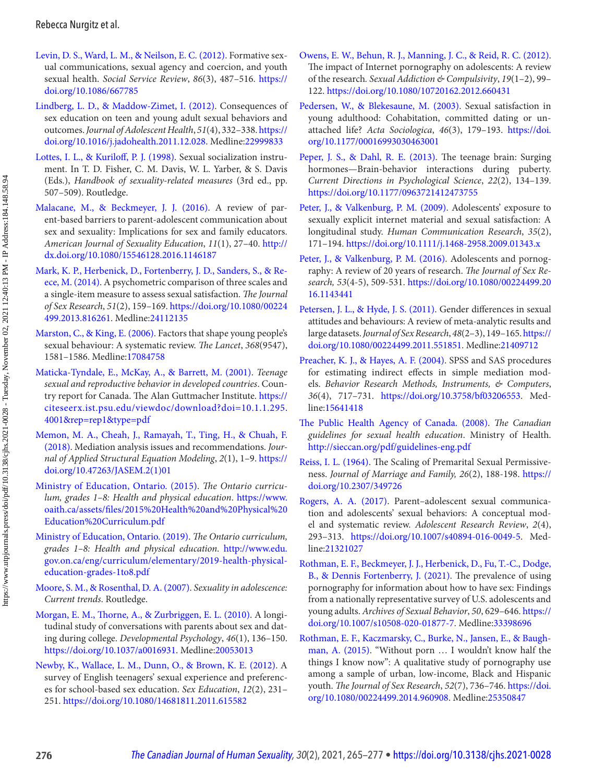- <span id="page-12-0"></span>Levin, D. S., Ward, L. M., & Neilson, E. C. (2012). Formative sexual communications, sexual agency and coercion, and youth sexual health. Social Service Review, 86(3), 487-516. https:// [doi.org/10.1086/667785](https://doi.org/10.1086/667785)
- Lindberg, L. D., & Maddow-Zimet, I. (2012). Consequences of sex education on teen and young adult sexual behaviors and outcomes. Journal of Adolescent Health, 51(4), 332-338. https:// [doi.org/10.1016/j.jadohealth.2011.12.028](https://doi.org/10.1016/j.jadohealth.2011.12.028). Medline:[22999833](https://preview.ncbi.nlm.nih.gov/pubmed/?term=22999833)
- Lottes, I. L., & Kuriloff, P. J. (1998). Sexual socialization instrument. In T. D. Fisher, C. M. Davis, W. L. Yarber, & S. Davis (Eds.), Handbook of sexuality-related measures (3rd ed., pp. 507-509). Routledge.
- Malacane, M., & Beckmeyer, J. J. (2016). A review of parent-based barriers to parent-adolescent communication about sex and sexuality: Implications for sex and family educators. American Journal of Sexuality Education, 11(1), 27-40. [http://](http://dx.doi.org/10.1080/15546128.2016.1146187) [dx.doi.org/10.1080/15546128.2016.1146187](http://dx.doi.org/10.1080/15546128.2016.1146187)
- Mark, K. P., Herbenick, D., Fortenberry, J. D., Sanders, S., & Reece, M. (2014). A psychometric comparison of three scales and a single-item measure to assess sexual satisfaction. The Journal of Sex Research, 51(2), 159-169. https://doi.org/10.1080/00224 [499.2013.816261](https://doi.org/10.1080/00224499.2013.816261). Medline:[24112135](https://preview.ncbi.nlm.nih.gov/pubmed/?term=24112135)
- Marston, C., & King, E. (2006). Factors that shape young people's sexual behaviour: A systematic review. The Lancet, 368(9547), 1581 – 1586 . Medline:[17084758](https://preview.ncbi.nlm.nih.gov/pubmed/?term=17084758)
- Maticka-Tyndale, E., McKay, A., & Barrett, M. (2001). Teenage sexual and reproductive behavior in developed countries. Country report for Canada. The Alan Guttmacher Institute. [https://](https://citeseerx.ist.psu.edu/viewdoc/download?doi=10.1.1.295.4001&rep=rep1&type=pdf) [citeseerx.ist.psu.edu/viewdoc/download?doi=10.1.1.295.](https://citeseerx.ist.psu.edu/viewdoc/download?doi=10.1.1.295.4001&rep=rep1&type=pdf) [4001&rep=rep1&type=pdf](https://citeseerx.ist.psu.edu/viewdoc/download?doi=10.1.1.295.4001&rep=rep1&type=pdf)
- Memon, M. A., Cheah, J., Ramayah, T., Ting, H., & Chuah, F. (2018). Mediation analysis issues and recommendations. Journal of Applied Structural Equation Modeling, 2(1), 1-9. https:// [doi.org/10.47263/JASEM.2\(1\)01](https://doi.org/10.47263/JASEM.2(1)01)
- [Ministry of Education, Ontario . \( 2015 \)](#page-9-0). The Ontario curriculum, grades 1–8: Health and physical education. [https://www.](https://www.oaith.ca/assets/files/2015%20Health%20and%20Physical%20Education%20Curriculum.pdf)  oaith.ca/assets/files/2015%20Health%20and%20Physical%20 [Education%20Curriculum.pdf](https://www.oaith.ca/assets/files/2015%20Health%20and%20Physical%20Education%20Curriculum.pdf)
- [Ministry of Education, Ontario . \( 2019 \)](#page-9-0). The Ontario curriculum, grades 1–8: Health and physical education. [http://www.edu.](http://www.edu.gov.on.ca/eng/curriculum/elementary/2019-health-physical-education-grades-1to8.pdf) [gov.on.ca/eng/curriculum/elementary/2019-health-physical](http://www.edu.gov.on.ca/eng/curriculum/elementary/2019-health-physical-education-grades-1to8.pdf)[education-grades-1to8.pdf](http://www.edu.gov.on.ca/eng/curriculum/elementary/2019-health-physical-education-grades-1to8.pdf)
- Moore, S. M., & Rosenthal, D. A. (2007). Sexuality in adolescence: Current trends. Routledge.
- Morgan, E. M., Thorne, A., & Zurbriggen, E. L. (2010). A longitudinal study of conversations with parents about sex and dating during college. Developmental Psychology, 46(1), 136-150. <https://doi.org/10.1037/a0016931>. Medline:[20053013](https://preview.ncbi.nlm.nih.gov/pubmed/?term=20053013)
- Newby, K., Wallace, L. M., Dunn, O., & Brown, K. E. (2012). A survey of English teenagers' sexual experience and preferences for school-based sex education. Sex Education, 12(2), 231-251 . <https://doi.org/10.1080/14681811.2011.615582>
- Owens, E. W., Behun, R. J., Manning, J. C., & Reid, R. C. (2012). The impact of Internet pornography on adolescents: A review of the research. Sexual Addiction & Compulsivity, 19(1-2), 99-122 . <https://doi.org/10.1080/10720162.2012.660431>
- Pedersen, W., & Blekesaune, M. (2003). Sexual satisfaction in young adulthood: Cohabitation, committed dating or unattached life? Acta Sociologica, 46(3), 179-193. https://doi. [org/10.1177/00016993030463001](https://doi.org/10.1177/00016993030463001)
- Peper, J. S., & Dahl, R. E. (2013). The teenage brain: Surging hormones—Brain-behavior interactions during puberty. Current Directions in Psychological Science, 22(2), 134-139. <https://doi.org/10.1177/0963721412473755>
- Peter, J., & Valkenburg, P. M. (2009). Adolescents' exposure to sexually explicit internet material and sexual satisfaction: A longitudinal study. Human Communication Research, 35(2), 171 – 194 . <https://doi.org/10.1111/j.1468-2958.2009.01343.x>
- [Peter, J., & Valkenburg, P. M. \(2016\)](#page-1-0). Adolescents and pornography: A review of 20 years of research. The Journal of Sex Research, 53(4-5), 509-531. [https://doi.org/10.1080/00224499.20](https://doi.org/10.1080/00224499.2016.1143441)  [16.1143441](https://doi.org/10.1080/00224499.2016.1143441)
- Petersen, J. L., & Hyde, J. S. (2011). Gender differences in sexual attitudes and behaviours: A review of meta-analytic results and large datasets. Journal of Sex Research, 48(2-3), 149-165. https:// [doi.org/10.1080/00224499.2011.551851](https://doi.org/10.1080/00224499.2011.551851). Medline:[21409712](https://preview.ncbi.nlm.nih.gov/pubmed/?term=21409712)
- Preacher, K. J., & Hayes, A. F. (2004). SPSS and SAS procedures for estimating indirect effects in simple mediation models. Behavior Research Methods, Instruments, & Computers, 36(4), 717-731. <https://doi.org/10.3758/bf03206553>. Medline:[15641418](https://preview.ncbi.nlm.nih.gov/pubmed/?term=15641418)
- The Public Health Agency of Canada. (2008). The Canadian guidelines for sexual health education. Ministry of Health. <http://sieccan.org/pdf/guidelines-eng.pdf>
- [Reiss, I. L. \(1964\)](#page-3-0). The Scaling of Premarital Sexual Permissiveness. Journal of Marriage and Family, 26(2), 188-198. [https://](https://doi.org/10.2307/349726)  [doi.org/10.2307/349726](https://doi.org/10.2307/349726)
- Rogers, A. A. (2017). Parent-adolescent sexual communication and adolescents' sexual behaviors: A conceptual model and systematic review. Adolescent Research Review, 2(4), 293 – 313 . <https://doi.org/10.1007/s40894-016-0049-5>. Medline:[21321027](https://preview.ncbi.nlm.nih.gov/pubmed/?term=21321027)
- Rothman, E. F., Beckmeyer, J. J., Herbenick, D., Fu, T.-C., Dodge, B., & Dennis Fortenberry, J. (2021). The prevalence of using pornography for information about how to have sex: Findings from a nationally representative survey of U.S. adolescents and young adults. Archives of Sexual Behavior, 50, 629-646. https:// [doi.org/10.1007/s10508-020-01877-7](https://doi.org/10.1007/s10508-020-01877-7). Medline:[33398696](https://preview.ncbi.nlm.nih.gov/pubmed/?term=33398696)
- Rothman, E. F., Kaczmarsky, C., Burke, N., Jansen, E., & Baughman, A. (2015). "Without porn ... I wouldn't know half the things I know now": A qualitative study of pornography use among a sample of urban, low-income, Black and Hispanic youth. The Journal of Sex Research, 52(7), 736-746. https://doi. [org/10.1080/00224499.2014.960908](https://doi.org/10.1080/00224499.2014.960908). Medline:[25350847](https://preview.ncbi.nlm.nih.gov/pubmed/?term=25350847)